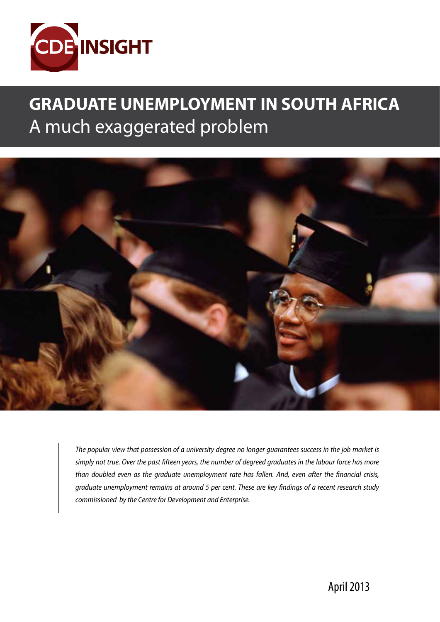

# **GRADUATE UNEMPLOYMENT IN SOUTH AFRICA** A much exaggerated problem



*The popular view that possession of a university degree no longer guarantees success in the job market is simply not true. Over the past fifteen years, the number of degreed graduates in the labour force has more than doubled even as the graduate unemployment rate has fallen. And, even after the financial crisis, graduate unemployment remains at around 5 per cent. These are key findings of a recent research study commissioned by the Centre for Development and Enterprise.*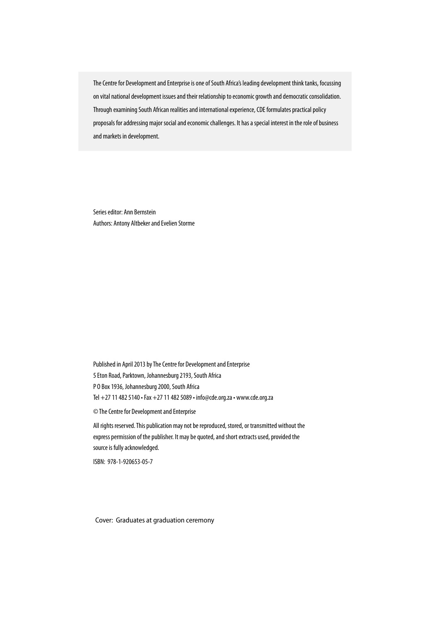The Centre for Development and Enterprise is one of South Africa's leading development think tanks, focussing on vital national development issues and their relationship to economic growth and democratic consolidation. Through examining South African realities and international experience, CDE formulates practical policy proposals for addressing major social and economic challenges. It has a special interest in the role of business and markets in development.

Series editor: Ann Bernstein Authors: Antony Altbeker and Evelien Storme

Published in April 2013 by The Centre for Development and Enterprise 5 Eton Road, Parktown, Johannesburg 2193, South Africa P O Box 1936, Johannesburg 2000, South Africa Tel +27 11 482 5140 • Fax +27 11 482 5089 • info@cde.org.za • www.cde.org.za

© The Centre for Development and Enterprise

All rights reserved. This publication may not be reproduced, stored, or transmitted without the express permission of the publisher. It may be quoted, and short extracts used, provided the source is fully acknowledged.

ISBN: 978-1-920653-05-7

Cover: Graduates at graduation ceremony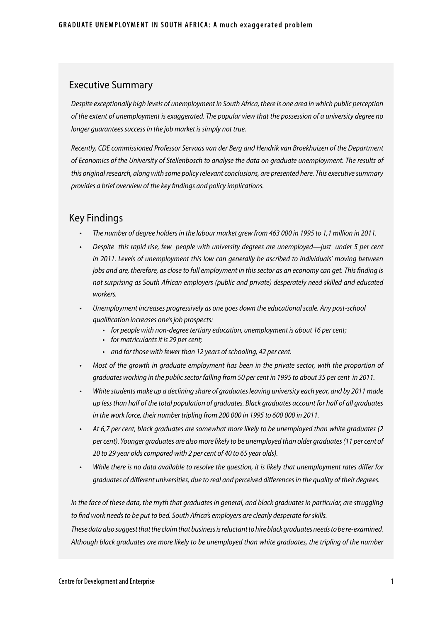#### Executive Summary

*Despite exceptionally high levels of unemployment in South Africa, there is one area in which public perception of the extent of unemployment is exaggerated. The popular view that the possession of a university degree no longer guarantees success in the job market is simply not true.* 

*Recently, CDE commissioned Professor Servaas van der Berg and Hendrik van Broekhuizen of the Department of Economics of the University of Stellenbosch to analyse the data on graduate unemployment. The results of this original research, along with some policy relevant conclusions, are presented here. This executive summary provides a brief overview of the key findings and policy implications.*

### Key Findings

- • *The number of degree holders in the labour market grew from 463 000 in 1995 to 1,1 million in 2011.*
- Despite this rapid rise, few people with university degrees are unemployed—just under 5 per cent in 2011. Levels of unemployment this low can generally be ascribed to individuals' moving between *jobs and are, therefore, as close to full employment in this sector as an economy can get. This finding is not surprising as South African employers (public and private) desperately need skilled and educated workers.*
- Unemployment increases progressively as one goes down the educational scale. Any post-school *qualification increases one's job prospects:*
	- • *for people with non-degree tertiary education, unemployment is about 16 per cent;*
	- • *for matriculants it is 29 per cent;*
	- • *and for those with fewer than 12 years of schooling, 42 per cent.*
- • *Most of the growth in graduate employment has been in the private sector, with the proportion of graduates working in the public sector falling from 50 per cent in 1995 to about 35 per cent in 2011.*
- White students make up a declining share of graduates leaving university each year, and by 2011 made *up less than half of the total population of graduates. Black graduates account for half of all graduates in the work force, their number tripling from 200 000 in 1995 to 600 000 in 2011.*
- • *At 6,7 per cent, black graduates are somewhat more likely to be unemployed than white graduates (2 per cent). Younger graduates are also more likely to be unemployed than older graduates (11 per cent of 20 to 29 year olds compared with 2 per cent of 40 to 65 year olds).*
- • *While there is no data available to resolve the question, it is likely that unemployment rates differ for graduates of different universities, due to real and perceived differences in the quality of their degrees.*

*In the face of these data, the myth that graduates in general, and black graduates in particular, are struggling to find work needs to be put to bed. South Africa's employers are clearly desperate for skills.*

*These data also suggest that the claim that business is reluctant to hire black graduates needs to be re-examined. Although black graduates are more likely to be unemployed than white graduates, the tripling of the number*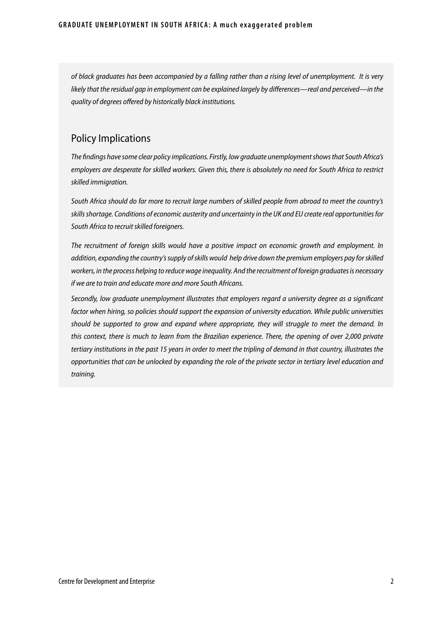*of black graduates has been accompanied by a falling rather than a rising level of unemployment. It is very likely that the residual gap in employment can be explained largely by differences—real and perceived—in the quality of degrees offered by historically black institutions.* 

### Policy Implications

*The findings have some clear policy implications. Firstly, low graduate unemployment shows that South Africa's employers are desperate for skilled workers. Given this, there is absolutely no need for South Africa to restrict skilled immigration.* 

*South Africa should do far more to recruit large numbers of skilled people from abroad to meet the country's skills shortage. Conditions of economic austerity and uncertainty in the UK and EU create real opportunities for South Africa to recruit skilled foreigners.* 

*The recruitment of foreign skills would have a positive impact on economic growth and employment. In addition, expanding the country's supply of skills would help drive down the premium employers pay for skilled workers, in the process helping to reduce wage inequality. And the recruitment of foreign graduates is necessary if we are to train and educate more and more South Africans.*

*Secondly, low graduate unemployment illustrates that employers regard a university degree as a significant factor when hiring, so policies should support the expansion of university education. While public universities should be supported to grow and expand where appropriate, they will struggle to meet the demand. In this context, there is much to learn from the Brazilian experience. There, the opening of over 2,000 private tertiary institutions in the past 15 years in order to meet the tripling of demand in that country, illustrates the opportunities that can be unlocked by expanding the role of the private sector in tertiary level education and training.*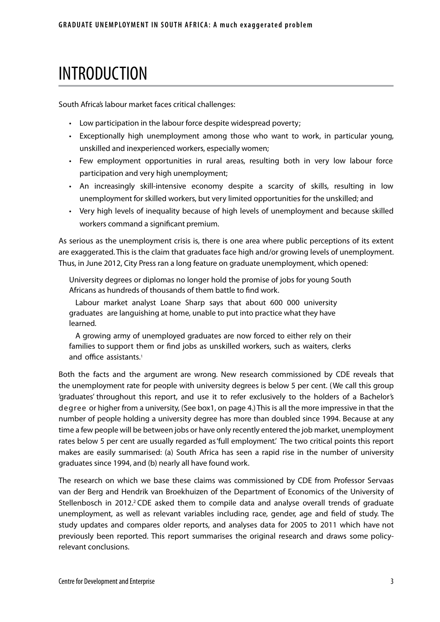# INTRODUCTION

South Africa's labour market faces critical challenges:

- Low participation in the labour force despite widespread poverty;
- Exceptionally high unemployment among those who want to work, in particular young, unskilled and inexperienced workers, especially women;
- Few employment opportunities in rural areas, resulting both in very low labour force participation and very high unemployment;
- • An increasingly skill-intensive economy despite a scarcity of skills, resulting in low unemployment for skilled workers, but very limited opportunities for the unskilled; and
- Very high levels of inequality because of high levels of unemployment and because skilled workers command a significant premium.

As serious as the unemployment crisis is, there is one area where public perceptions of its extent are exaggerated. This is the claim that graduates face high and/or growing levels of unemployment. Thus, in June 2012, City Press ran a long feature on graduate unemployment, which opened:

University degrees or diplomas no longer hold the promise of jobs for young South Africans as hundreds of thousands of them battle to find work.

Labour market analyst Loane Sharp says that about 600 000 university graduates are languishing at home, unable to put into practice what they have learned.

A growing army of unemployed graduates are now forced to either rely on their families to support them or find jobs as unskilled workers, such as waiters, clerks and office assistants.<sup>1</sup>

Both the facts and the argument are wrong. New research commissioned by CDE reveals that the unemployment rate for people with university degrees is below 5 per cent. (We call this group 'graduates' throughout this report, and use it to refer exclusively to the holders of a Bachelor's degree or higher from a university, (See box1, on page 4.) This is all the more impressive in that the number of people holding a university degree has more than doubled since 1994. Because at any time a few people will be between jobs or have only recently entered the job market, unemployment rates below 5 per cent are usually regarded as 'full employment'. The two critical points this report makes are easily summarised: (a) South Africa has seen a rapid rise in the number of university graduates since 1994, and (b) nearly all have found work.

The research on which we base these claims was commissioned by CDE from Professor Servaas van der Berg and Hendrik van Broekhuizen of the Department of Economics of the University of Stellenbosch in 2012.<sup>2</sup> CDE asked them to compile data and analyse overall trends of graduate unemployment, as well as relevant variables including race, gender, age and field of study. The study updates and compares older reports, and analyses data for 2005 to 2011 which have not previously been reported. This report summarises the original research and draws some policyrelevant conclusions.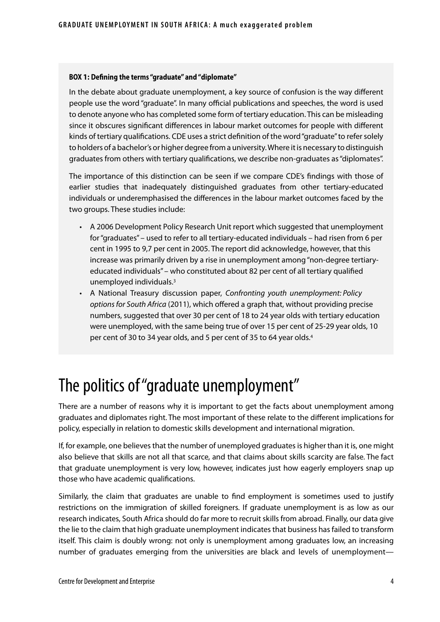#### **BOX 1: Defining the terms "graduate" and "diplomate"**

In the debate about graduate unemployment, a key source of confusion is the way different people use the word "graduate". In many official publications and speeches, the word is used to denote anyone who has completed some form of tertiary education. This can be misleading since it obscures significant differences in labour market outcomes for people with different kinds of tertiary qualifications. CDE uses a strict definition of the word "graduate" to refer solely to holders of a bachelor's or higher degree from a university. Where it is necessary to distinguish graduates from others with tertiary qualifications, we describe non-graduates as "diplomates".

The importance of this distinction can be seen if we compare CDE's findings with those of earlier studies that inadequately distinguished graduates from other tertiary-educated individuals or underemphasised the differences in the labour market outcomes faced by the two groups. These studies include:

- • A 2006 Development Policy Research Unit report which suggested that unemployment for "graduates" – used to refer to all tertiary-educated individuals – had risen from 6 per cent in 1995 to 9,7 per cent in 2005. The report did acknowledge, however, that this increase was primarily driven by a rise in unemployment among "non-degree tertiaryeducated individuals" – who constituted about 82 per cent of all tertiary qualified unemployed individuals.3
- • A National Treasury discussion paper, *Confronting youth unemployment: Policy options for South Africa* (2011), which offered a graph that, without providing precise numbers, suggested that over 30 per cent of 18 to 24 year olds with tertiary education were unemployed, with the same being true of over 15 per cent of 25-29 year olds, 10 per cent of 30 to 34 year olds, and 5 per cent of 35 to 64 year olds.4

# The politics of "graduate unemployment"

There are a number of reasons why it is important to get the facts about unemployment among graduates and diplomates right. The most important of these relate to the different implications for policy, especially in relation to domestic skills development and international migration.

If, for example, one believes that the number of unemployed graduates is higher than it is, one might also believe that skills are not all that scarce, and that claims about skills scarcity are false. The fact that graduate unemployment is very low, however, indicates just how eagerly employers snap up those who have academic qualifications.

Similarly, the claim that graduates are unable to find employment is sometimes used to justify restrictions on the immigration of skilled foreigners. If graduate unemployment is as low as our research indicates, South Africa should do far more to recruit skills from abroad. Finally, our data give the lie to the claim that high graduate unemployment indicates that business has failed to transform itself. This claim is doubly wrong: not only is unemployment among graduates low, an increasing number of graduates emerging from the universities are black and levels of unemployment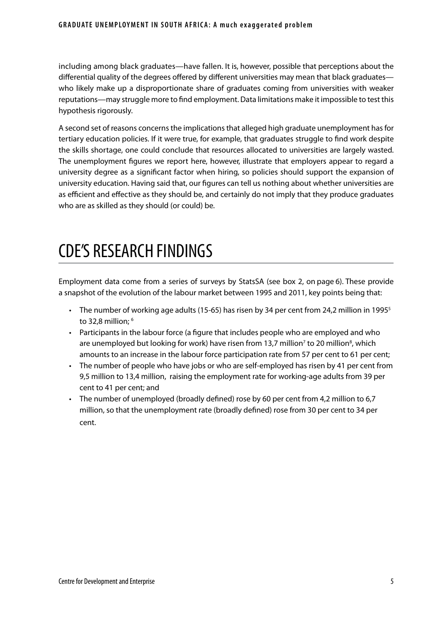including among black graduates—have fallen. It is, however, possible that perceptions about the differential quality of the degrees offered by different universities may mean that black graduates who likely make up a disproportionate share of graduates coming from universities with weaker reputations—may struggle more to find employment. Data limitations make it impossible to test this hypothesis rigorously.

A second set of reasons concerns the implications that alleged high graduate unemployment has for tertiary education policies. If it were true, for example, that graduates struggle to find work despite the skills shortage, one could conclude that resources allocated to universities are largely wasted. The unemployment figures we report here, however, illustrate that employers appear to regard a university degree as a significant factor when hiring, so policies should support the expansion of university education. Having said that, our figures can tell us nothing about whether universities are as efficient and effective as they should be, and certainly do not imply that they produce graduates who are as skilled as they should (or could) be.

# CDE'S RESEARCH FINDINGS

Employment data come from a series of surveys by StatsSA (see box 2, on page 6). These provide a snapshot of the evolution of the labour market between 1995 and 2011, key points being that:

- The number of working age adults (15-65) has risen by 34 per cent from 24,2 million in 1995<sup>5</sup> to 32,8 million; <sup>6</sup>
- • Participants in the labour force (a figure that includes people who are employed and who are unemployed but looking for work) have risen from 13,7 million<sup>7</sup> to 20 million<sup>8</sup>, which amounts to an increase in the labour force participation rate from 57 per cent to 61 per cent;
- • The number of people who have jobs or who are self-employed has risen by 41 per cent from 9,5 million to 13,4 million, raising the employment rate for working-age adults from 39 per cent to 41 per cent; and
- The number of unemployed (broadly defined) rose by 60 per cent from 4,2 million to 6,7 million, so that the unemployment rate (broadly defined) rose from 30 per cent to 34 per cent.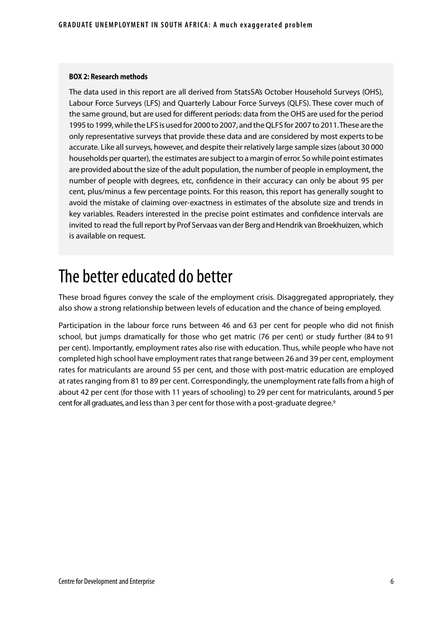#### **BOX 2: Research methods**

The data used in this report are all derived from StatsSA's October Household Surveys (OHS), Labour Force Surveys (LFS) and Quarterly Labour Force Surveys (QLFS). These cover much of the same ground, but are used for different periods: data from the OHS are used for the period 1995 to 1999, while the LFS is used for 2000 to 2007, and the QLFS for 2007 to 2011. These are the only representative surveys that provide these data and are considered by most experts to be accurate. Like all surveys, however, and despite their relatively large sample sizes (about 30 000 households per quarter), the estimates are subject to a margin of error. So while point estimates are provided about the size of the adult population, the number of people in employment, the number of people with degrees, etc, confidence in their accuracy can only be about 95 per cent, plus/minus a few percentage points. For this reason, this report has generally sought to avoid the mistake of claiming over-exactness in estimates of the absolute size and trends in key variables. Readers interested in the precise point estimates and confidence intervals are invited to read the full report by Prof Servaas van der Berg and Hendrik van Broekhuizen, which is available on request.

## The better educated do better

These broad figures convey the scale of the employment crisis. Disaggregated appropriately, they also show a strong relationship between levels of education and the chance of being employed.

Participation in the labour force runs between 46 and 63 per cent for people who did not finish school, but jumps dramatically for those who get matric (76 per cent) or study further (84 to 91 per cent). Importantly, employment rates also rise with education. Thus, while people who have not completed high school have employment rates that range between 26 and 39 per cent, employment rates for matriculants are around 55 per cent, and those with post-matric education are employed at rates ranging from 81 to 89 per cent. Correspondingly, the unemployment rate falls from a high of about 42 per cent (for those with 11 years of schooling) to 29 per cent for matriculants, around 5 per cent for all graduates, and less than 3 per cent for those with a post-graduate degree.<sup>9</sup>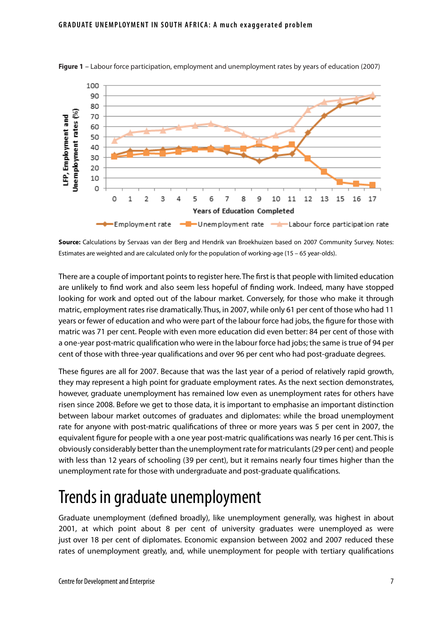

**Figure 1** – Labour force participation, employment and unemployment rates by years of education (2007)

**Source:** Calculations by Servaas van der Berg and Hendrik van Broekhuizen based on 2007 Community Survey. Notes: Estimates are weighted and are calculated only for the population of working-age (15 – 65 year-olds).

There are a couple of important points to register here. The first is that people with limited education are unlikely to find work and also seem less hopeful of finding work. Indeed, many have stopped looking for work and opted out of the labour market. Conversely, for those who make it through matric, employment rates rise dramatically. Thus, in 2007, while only 61 per cent of those who had 11 years or fewer of education and who were part of the labour force had jobs, the figure for those with matric was 71 per cent. People with even more education did even better: 84 per cent of those with a one-year post-matric qualification who were in the labour force had jobs; the same is true of 94 per cent of those with three-year qualifications and over 96 per cent who had post-graduate degrees.

These figures are all for 2007. Because that was the last year of a period of relatively rapid growth, they may represent a high point for graduate employment rates. As the next section demonstrates, however, graduate unemployment has remained low even as unemployment rates for others have risen since 2008. Before we get to those data, it is important to emphasise an important distinction between labour market outcomes of graduates and diplomates: while the broad unemployment rate for anyone with post-matric qualifications of three or more years was 5 per cent in 2007, the equivalent figure for people with a one year post-matric qualifications was nearly 16 per cent. This is obviously considerably better than the unemployment rate for matriculants (29 per cent) and people with less than 12 years of schooling (39 per cent), but it remains nearly four times higher than the unemployment rate for those with undergraduate and post-graduate qualifications.

## Trends in graduate unemployment

Graduate unemployment (defined broadly), like unemployment generally, was highest in about 2001, at which point about 8 per cent of university graduates were unemployed as were just over 18 per cent of diplomates. Economic expansion between 2002 and 2007 reduced these rates of unemployment greatly, and, while unemployment for people with tertiary qualifications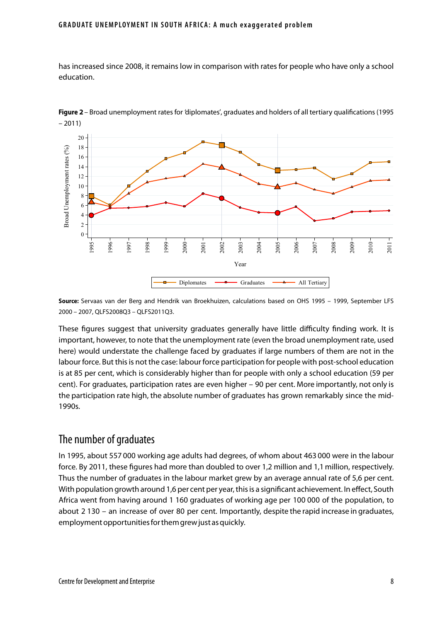has increased since 2008, it remains low in comparison with rates for people who have only a school education.



Figure 2 – Broad unemployment rates for 'diplomates', graduates and holders of all tertiary qualifications (1995 – 2011)

**Source:** Servaas van der Berg and Hendrik van Broekhuizen, calculations based on OHS 1995 – 1999, September LFS 2000 – 2007, QLFS2008Q3 – QLFS2011Q3.

These figures suggest that university graduates generally have little difficulty finding work. It is important, however, to note that the unemployment rate (even the broad unemployment rate, used here) would understate the challenge faced by graduates if large numbers of them are not in the labour force. But this is not the case: labour force participation for people with post-school education is at 85 per cent, which is considerably higher than for people with only a school education (59 per cent). For graduates, participation rates are even higher – 90 per cent. More importantly, not only is the participation rate high, the absolute number of graduates has grown remarkably since the mid-1990s.

### The number of graduates

In 1995, about 557 000 working age adults had degrees, of whom about 463 000 were in the labour force. By 2011, these figures had more than doubled to over 1,2 million and 1,1 million, respectively. Thus the number of graduates in the labour market grew by an average annual rate of 5,6 per cent. With population growth around 1,6 per cent per year, this is a significant achievement. In effect, South Africa went from having around 1 160 graduates of working age per 100 000 of the population, to about 2 130 – an increase of over 80 per cent. Importantly, despite the rapid increase in graduates, employment opportunities for them grew just as quickly.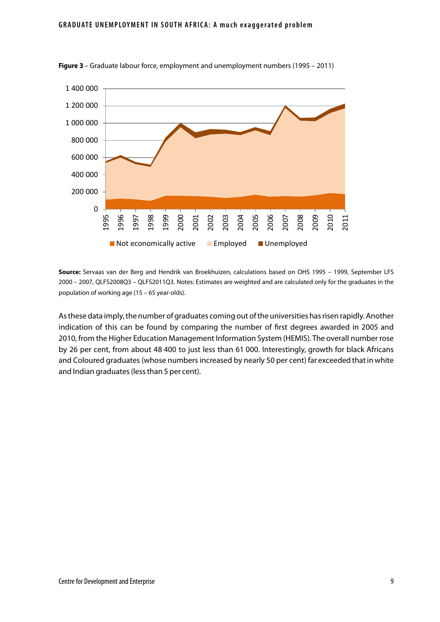

**Figure 3** – Graduate labour force, employment and unemployment numbers (1995 – 2011)

**Source:** Servaas van der Berg and Hendrik van Broekhuizen, calculations based on OHS 1995 – 1999, September LFS 2000 – 2007, QLFS2008Q3 – QLFS2011Q3. Notes: Estimates are weighted and are calculated only for the graduates in the population of working age (15 – 65 year-olds).

As these data imply, the number of graduates coming out of the universities has risen rapidly. Another indication of this can be found by comparing the number of first degrees awarded in 2005 and 2010, from the Higher Education Management Information System (HEMIS). The overall number rose by 26 per cent, from about 48 400 to just less than 61 000. Interestingly, growth for black Africans and Coloured graduates (whose numbers increased by nearly 50 per cent) far exceeded that in white and Indian graduates (less than 5 per cent).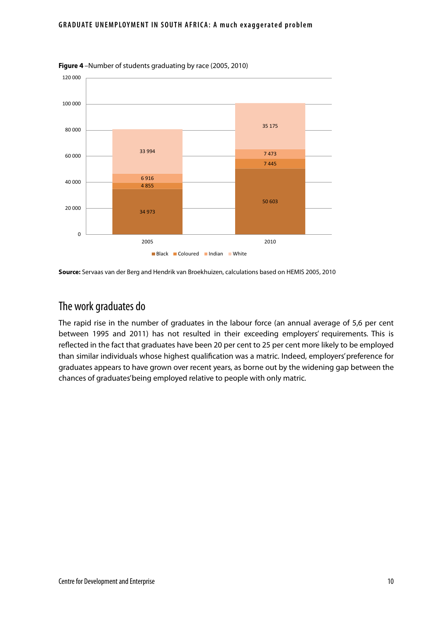#### **GRADUATE UNEMPLOYMENT IN SOUTH AFRICA: A much exaggerated problem**



**Figure 4** –Number of students graduating by race (2005, 2010)

**Source:** Servaas van der Berg and Hendrik van Broekhuizen, calculations based on HEMIS 2005, 2010

## The work graduates do

The rapid rise in the number of graduates in the labour force (an annual average of 5,6 per cent between 1995 and 2011) has not resulted in their exceeding employers' requirements. This is reflected in the fact that graduates have been 20 per cent to 25 per cent more likely to be employed than similar individuals whose highest qualification was a matric. Indeed, employers' preference for graduates appears to have grown over recent years, as borne out by the widening gap between the chances of graduates' being employed relative to people with only matric.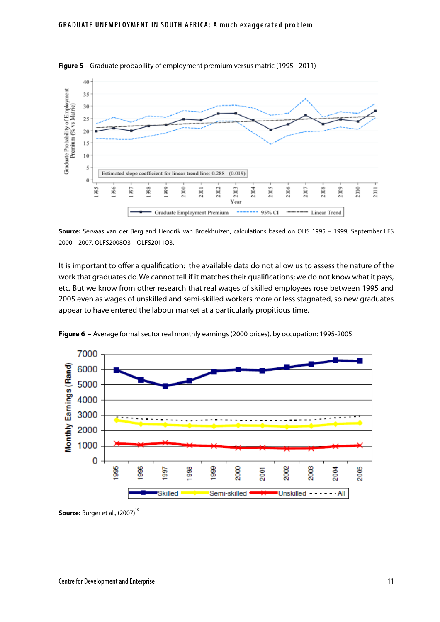

**Figure 5** – Graduate probability of employment premium versus matric (1995 - 2011)

**Source:** Servaas van der Berg and Hendrik van Broekhuizen, calculations based on OHS 1995 – 1999, September LFS 2000 – 2007, QLFS2008Q3 – QLFS2011Q3.

It is important to offer a qualification: the available data do not allow us to assess the nature of the work that graduates do. We cannot tell if it matches their qualifications; we do not know what it pays, etc. But we know from other research that real wages of skilled employees rose between 1995 and 2005 even as wages of unskilled and semi-skilled workers more or less stagnated, so new graduates appear to have entered the labour market at a particularly propitious time.



**Figure 6** – Average formal sector real monthly earnings (2000 prices), by occupation: 1995-2005

**Source:** Burger et al., (2007)<sup>10</sup>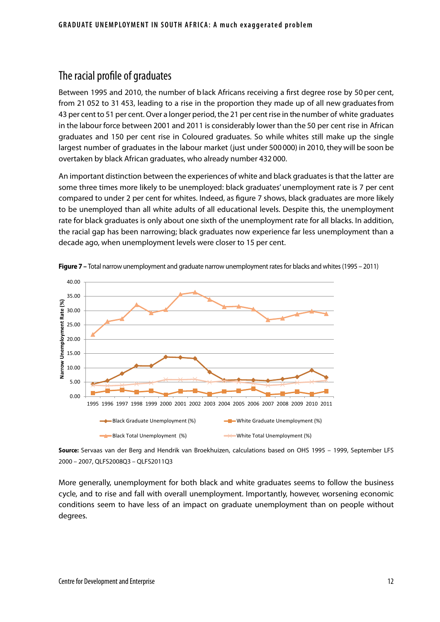### The racial profile of graduates

Between 1995 and 2010, the number of b lack Africans receiving a first degree rose by 50 per cent, from 21 052 to 31 453, leading to a rise in the proportion they made up of all new graduates from 43 per cent to 51 per cent. Over a longer period, the 21 per cent rise in the number of white graduates in the labour force between 2001 and 2011 is considerably lower than the 50 per cent rise in African graduates and 150 per cent rise in Coloured graduates. So while whites still make up the single largest number of graduates in the labour market (just under 500 000) in 2010, they will be soon be overtaken by black African graduates, who already number 432 000.

An important distinction between the experiences of white and black graduates is that the latter are some three times more likely to be unemployed: black graduates' unemployment rate is 7 per cent compared to under 2 per cent for whites. Indeed, as figure 7 shows, black graduates are more likely to be unemployed than all white adults of all educational levels. Despite this, the unemployment rate for black graduates is only about one sixth of the unemployment rate for all blacks. In addition, the racial gap has been narrowing; black graduates now experience far less unemployment than a decade ago, when unemployment levels were closer to 15 per cent.





**Source:** Servaas van der Berg and Hendrik van Broekhuizen, calculations based on OHS 1995 – 1999, September LFS 2000 – 2007, QLFS2008Q3 – QLFS2011Q3

More generally, unemployment for both black and white graduates seems to follow the business cycle, and to rise and fall with overall unemployment. Importantly, however, worsening economic conditions seem to have less of an impact on graduate unemployment than on people without degrees.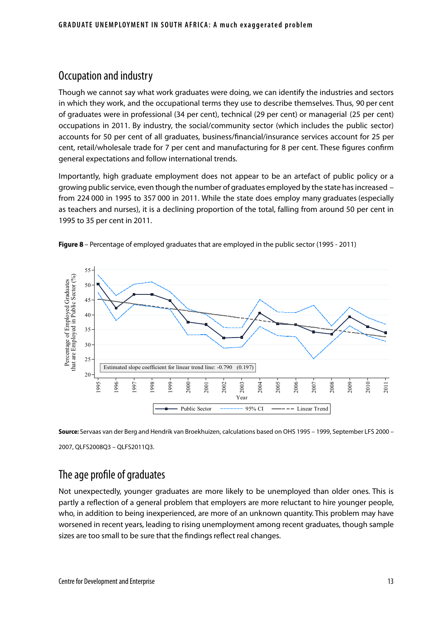## Occupation and industry

Though we cannot say what work graduates were doing, we can identify the industries and sectors in which they work, and the occupational terms they use to describe themselves. Thus, 90 per cent of graduates were in professional (34 per cent), technical (29 per cent) or managerial (25 per cent) occupations in 2011. By industry, the social/community sector (which includes the public sector) accounts for 50 per cent of all graduates, business/financial/insurance services account for 25 per cent, retail/wholesale trade for 7 per cent and manufacturing for 8 per cent. These figures confirm general expectations and follow international trends.

Importantly, high graduate employment does not appear to be an artefact of public policy or a growing public service, even though the number of graduates employed by the state has increased – from 224 000 in 1995 to 357 000 in 2011. While the state does employ many graduates (especially as teachers and nurses), it is a declining proportion of the total, falling from around 50 per cent in 1995 to 35 per cent in 2011.



**Figure 8** – Percentage of employed graduates that are employed in the public sector (1995 - 2011)

**Source:** Servaas van der Berg and Hendrik van Broekhuizen, calculations based on OHS 1995 – 1999, September LFS 2000 – 2007, QLFS2008Q3 – QLFS2011Q3.

## The age profile of graduates

Not unexpectedly, younger graduates are more likely to be unemployed than older ones. This is partly a reflection of a general problem that employers are more reluctant to hire younger people, who, in addition to being inexperienced, are more of an unknown quantity. This problem may have worsened in recent years, leading to rising unemployment among recent graduates, though sample sizes are too small to be sure that the findings reflect real changes.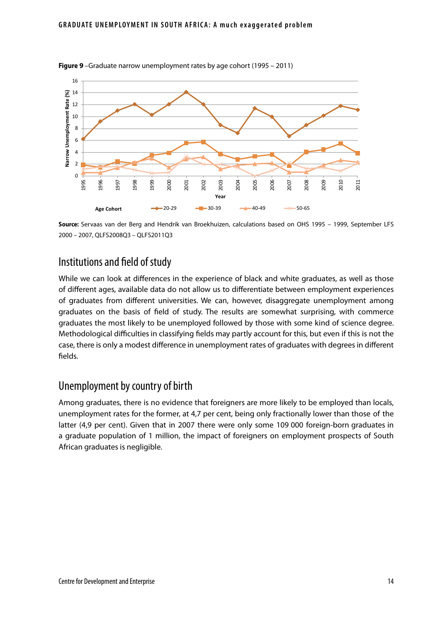

**Figure 9** –Graduate narrow unemployment rates by age cohort (1995 – 2011)

**Source:** Servaas van der Berg and Hendrik van Broekhuizen, calculations based on OHS 1995 – 1999, September LFS 2000 – 2007, QLFS2008Q3 – QLFS2011Q3

### Institutions and field of study

While we can look at differences in the experience of black and white graduates, as well as those of different ages, available data do not allow us to differentiate between employment experiences of graduates from different universities. We can, however, disaggregate unemployment among graduates on the basis of field of study. The results are somewhat surprising, with commerce graduates the most likely to be unemployed followed by those with some kind of science degree. Methodological difficulties in classifying fields may partly account for this, but even if this is not the case, there is only a modest difference in unemployment rates of graduates with degrees in different fields.

### Unemployment by country of birth

Among graduates, there is no evidence that foreigners are more likely to be employed than locals, unemployment rates for the former, at 4,7 per cent, being only fractionally lower than those of the latter (4,9 per cent). Given that in 2007 there were only some 109 000 foreign-born graduates in a graduate population of 1 million, the impact of foreigners on employment prospects of South African graduates is negligible.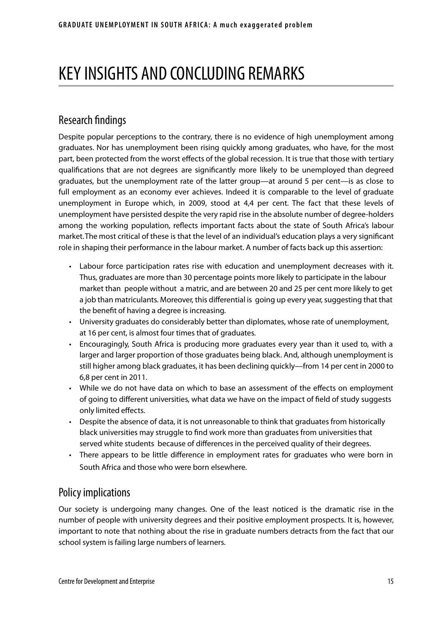# KEY INSIGHTS AND CONCLUDING REMARKS

## Research findings

Despite popular perceptions to the contrary, there is no evidence of high unemployment among graduates. Nor has unemployment been rising quickly among graduates, who have, for the most part, been protected from the worst effects of the global recession. It is true that those with tertiary qualifications that are not degrees are significantly more likely to be unemployed than degreed graduates, but the unemployment rate of the latter group—at around 5 per cent—is as close to full employment as an economy ever achieves. Indeed it is comparable to the level of graduate unemployment in Europe which, in 2009, stood at 4,4 per cent. The fact that these levels of unemployment have persisted despite the very rapid rise in the absolute number of degree-holders among the working population, reflects important facts about the state of South Africa's labour market. The most critical of these is that the level of an individual's education plays a very significant role in shaping their performance in the labour market. A number of facts back up this assertion:

- • Labour force participation rates rise with education and unemployment decreases with it. Thus, graduates are more than 30 percentage points more likely to participate in the labour market than people without a matric, and are between 20 and 25 per cent more likely to get a job than matriculants. Moreover, this differential is going up every year, suggesting that that the benefit of having a degree is increasing.
- • University graduates do considerably better than diplomates, whose rate of unemployment, at 16 per cent, is almost four times that of graduates.
- Encouragingly, South Africa is producing more graduates every year than it used to, with a larger and larger proportion of those graduates being black. And, although unemployment is still higher among black graduates, it has been declining quickly—from 14 per cent in 2000 to 6,8 per cent in 2011.
- While we do not have data on which to base an assessment of the effects on employment of going to different universities, what data we have on the impact of field of study suggests only limited effects.
- • Despite the absence of data, it is not unreasonable to think that graduates from historically black universities may struggle to find work more than graduates from universities that served white students because of differences in the perceived quality of their degrees.
- There appears to be little difference in employment rates for graduates who were born in South Africa and those who were born elsewhere.

### Policy implications

Our society is undergoing many changes. One of the least noticed is the dramatic rise in the number of people with university degrees and their positive employment prospects. It is, however, important to note that nothing about the rise in graduate numbers detracts from the fact that our school system is failing large numbers of learners.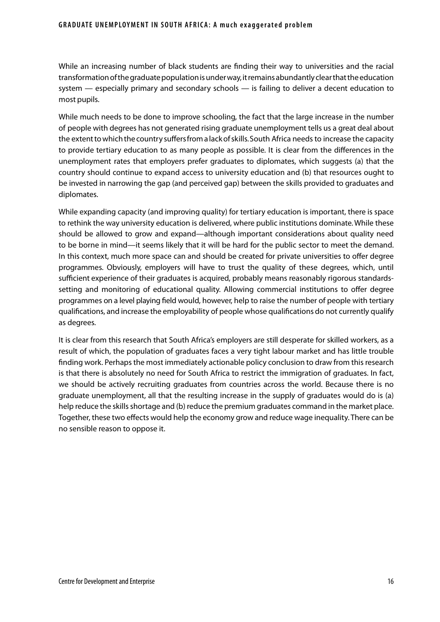While an increasing number of black students are finding their way to universities and the racial transformation of the graduate population is under way, it remains abundantly clear that the education system — especially primary and secondary schools — is failing to deliver a decent education to most pupils.

While much needs to be done to improve schooling, the fact that the large increase in the number of people with degrees has not generated rising graduate unemployment tells us a great deal about the extent to which the country suffers from a lack of skills. South Africa needs to increase the capacity to provide tertiary education to as many people as possible. It is clear from the differences in the unemployment rates that employers prefer graduates to diplomates, which suggests (a) that the country should continue to expand access to university education and (b) that resources ought to be invested in narrowing the gap (and perceived gap) between the skills provided to graduates and diplomates.

While expanding capacity (and improving quality) for tertiary education is important, there is space to rethink the way university education is delivered, where public institutions dominate. While these should be allowed to grow and expand—although important considerations about quality need to be borne in mind—it seems likely that it will be hard for the public sector to meet the demand. In this context, much more space can and should be created for private universities to offer degree programmes. Obviously, employers will have to trust the quality of these degrees, which, until sufficient experience of their graduates is acquired, probably means reasonably rigorous standardssetting and monitoring of educational quality. Allowing commercial institutions to offer degree programmes on a level playing field would, however, help to raise the number of people with tertiary qualifications, and increase the employability of people whose qualifications do not currently qualify as degrees.

It is clear from this research that South Africa's employers are still desperate for skilled workers, as a result of which, the population of graduates faces a very tight labour market and has little trouble finding work. Perhaps the most immediately actionable policy conclusion to draw from this research is that there is absolutely no need for South Africa to restrict the immigration of graduates. In fact, we should be actively recruiting graduates from countries across the world. Because there is no graduate unemployment, all that the resulting increase in the supply of graduates would do is (a) help reduce the skills shortage and (b) reduce the premium graduates command in the market place. Together, these two effects would help the economy grow and reduce wage inequality. There can be no sensible reason to oppose it.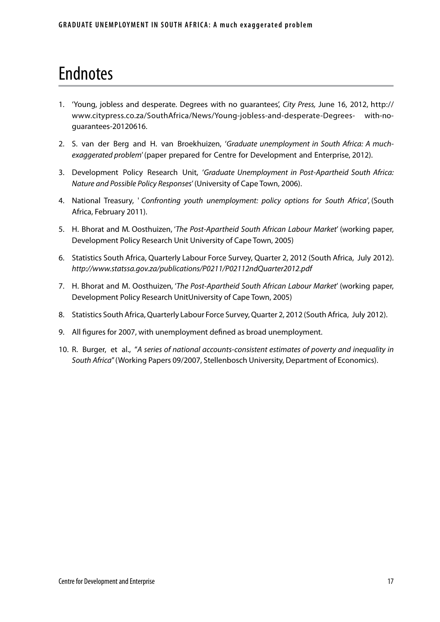# Endnotes

- 1. 'Young, jobless and desperate. Degrees with no guarantees', *City Press,* June 16, 2012, http:// www.citypress.co.za/SouthAfrica/News/Young-jobless-and-desperate-Degrees- with-noguarantees-20120616.
- 2. S. van der Berg and H. van Broekhuizen, '*Graduate unemployment in South Africa: A muchexaggerated problem*' (paper prepared for Centre for Development and Enterprise, 2012).
- 3. Development Policy Research Unit, '*Graduate Unemployment in Post-Apartheid South Africa: Nature and Possible Policy Responses*' (University of Cape Town, 2006).
- 4. National Treasury, ' *Confronting youth unemployment: policy options for South Africa'*, (South Africa, February 2011).
- 5. H. Bhorat and M. Oosthuizen, '*The Post-Apartheid South African Labour Market*' (working paper, Development Policy Research Unit University of Cape Town, 2005)
- 6. Statistics South Africa, Quarterly Labour Force Survey, Quarter 2, 2012 (South Africa, July 2012). *http://www.statssa.gov.za/publications/P0211/P02112ndQuarter2012.pdf*
- 7. H. Bhorat and M. Oosthuizen, '*The Post-Apartheid South African Labour Market*' (working paper, Development Policy Research UnitUniversity of Cape Town, 2005)
- 8. Statistics South Africa, Quarterly Labour Force Survey, Quarter 2, 2012 (South Africa, July 2012).
- 9. All figures for 2007, with unemployment defined as broad unemployment.
- 10. R. Burger, et al., "*A series of national accounts-consistent estimates of poverty and inequality in South Africa*" (Working Papers 09/2007, Stellenbosch University, Department of Economics).